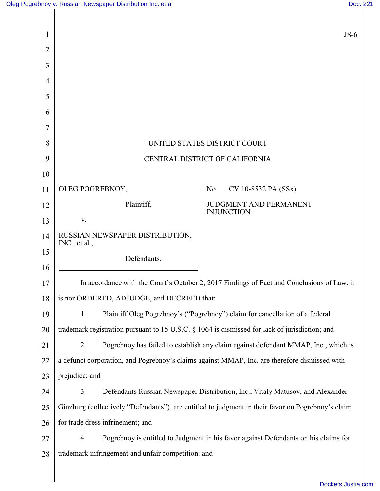|    | $JS-6$                                                                                             |
|----|----------------------------------------------------------------------------------------------------|
| 2  |                                                                                                    |
| 3  |                                                                                                    |
| 4  |                                                                                                    |
| 5  |                                                                                                    |
| 6  |                                                                                                    |
|    |                                                                                                    |
| 8  | UNITED STATES DISTRICT COURT                                                                       |
| 9  | CENTRAL DISTRICT OF CALIFORNIA                                                                     |
| 10 |                                                                                                    |
| 11 | OLEG POGREBNOY,<br>CV 10-8532 PA (SSx)<br>No.                                                      |
| 12 | Plaintiff,<br>JUDGMENT AND PERMANENT<br><b>INJUNCTION</b>                                          |
| 13 | V.                                                                                                 |
| 14 | RUSSIAN NEWSPAPER DISTRIBUTION,<br>INC., et al.,                                                   |
| 15 | Defendants.                                                                                        |
| 16 |                                                                                                    |
| 17 | In accordance with the Court's October 2, 2017 Findings of Fact and Conclusions of Law, it         |
| 18 | is nor ORDERED, ADJUDGE, and DECREED that:                                                         |
| 19 | Plaintiff Oleg Pogrebnoy's ("Pogrebnoy") claim for cancellation of a federal<br>1.                 |
| 20 | trademark registration pursuant to 15 U.S.C. § 1064 is dismissed for lack of jurisdiction; and     |
| 21 | 2.<br>Pogrebnoy has failed to establish any claim against defendant MMAP, Inc., which is           |
| 22 | a defunct corporation, and Pogrebnoy's claims against MMAP, Inc. are therefore dismissed with      |
| 23 | prejudice; and                                                                                     |
| 24 | Defendants Russian Newspaper Distribution, Inc., Vitaly Matusov, and Alexander<br>3.               |
| 25 | Ginzburg (collectively "Defendants"), are entitled to judgment in their favor on Pogrebnoy's claim |
| 26 | for trade dress infrinement; and                                                                   |
| 27 | Pogrebnoy is entitled to Judgment in his favor against Defendants on his claims for<br>4.          |
| 28 | trademark infringement and unfair competition; and                                                 |
|    |                                                                                                    |